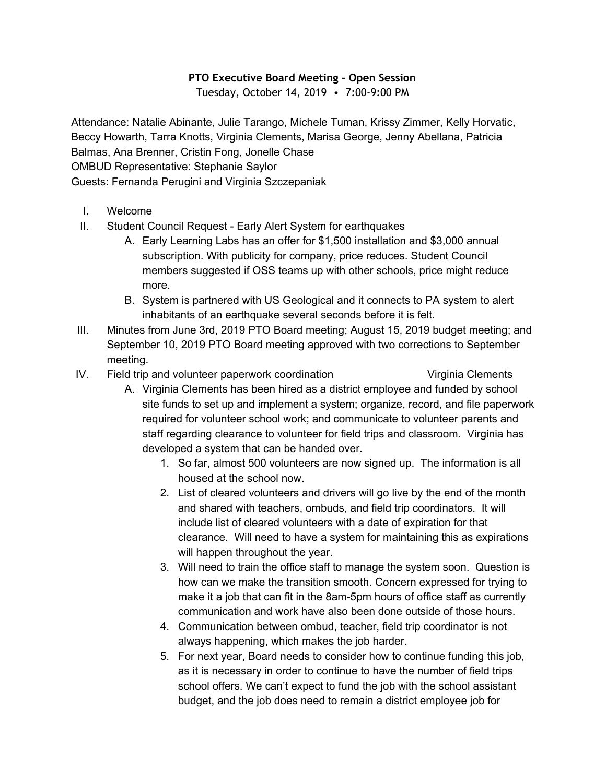## **PTO Executive Board Meeting – Open Session**

Tuesday, October 14, 2019 • 7:00-9:00 PM

Attendance: Natalie Abinante, Julie Tarango, Michele Tuman, Krissy Zimmer, Kelly Horvatic, Beccy Howarth, Tarra Knotts, Virginia Clements, Marisa George, Jenny Abellana, Patricia Balmas, Ana Brenner, Cristin Fong, Jonelle Chase OMBUD Representative: Stephanie Saylor

Guests: Fernanda Perugini and Virginia Szczepaniak

- I. Welcome
- II. Student Council Request Early Alert System for earthquakes
	- A. Early Learning Labs has an offer for \$1,500 installation and \$3,000 annual subscription. With publicity for company, price reduces. Student Council members suggested if OSS teams up with other schools, price might reduce more.
	- B. System is partnered with US Geological and it connects to PA system to alert inhabitants of an earthquake several seconds before it is felt.
- III. Minutes from June 3rd, 2019 PTO Board meeting; August 15, 2019 budget meeting; and September 10, 2019 PTO Board meeting approved with two corrections to September meeting.
- IV. Field trip and volunteer paperwork coordination **Virginia Clements** 
	-
	- A. Virginia Clements has been hired as a district employee and funded by school site funds to set up and implement a system; organize, record, and file paperwork required for volunteer school work; and communicate to volunteer parents and staff regarding clearance to volunteer for field trips and classroom. Virginia has developed a system that can be handed over.
		- 1. So far, almost 500 volunteers are now signed up. The information is all housed at the school now.
		- 2. List of cleared volunteers and drivers will go live by the end of the month and shared with teachers, ombuds, and field trip coordinators. It will include list of cleared volunteers with a date of expiration for that clearance. Will need to have a system for maintaining this as expirations will happen throughout the year.
		- 3. Will need to train the office staff to manage the system soon. Question is how can we make the transition smooth. Concern expressed for trying to make it a job that can fit in the 8am-5pm hours of office staff as currently communication and work have also been done outside of those hours.
		- 4. Communication between ombud, teacher, field trip coordinator is not always happening, which makes the job harder.
		- 5. For next year, Board needs to consider how to continue funding this job, as it is necessary in order to continue to have the number of field trips school offers. We can't expect to fund the job with the school assistant budget, and the job does need to remain a district employee job for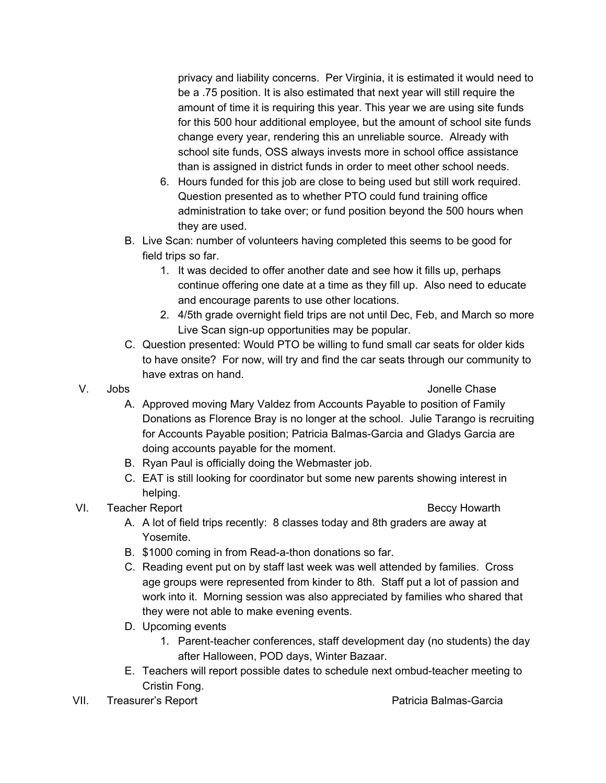privacy and liability concerns. Per Virginia, it is estimated it would need to be a .75 position. It is also estimated that next year will still require the amount of time it is requiring this year. This year we are using site funds for this 500 hour additional employee, but the amount of school site funds change every year, rendering this an unreliable source. Already with school site funds, OSS always invests more in school office assistance than is assigned in district funds in order to meet other school needs.

- 6. Hours funded for this job are close to being used but still work required. Question presented as to whether PTO could fund training office administration to take over; or fund position beyond the 500 hours when they are used.
- B. Live Scan: number of volunteers having completed this seems to be good for field trips so far.
	- 1. It was decided to offer another date and see how it fills up, perhaps continue offering one date at a time as they fill up. Also need to educate and encourage parents to use other locations.
	- 2. 4/5th grade overnight field trips are not until Dec, Feb, and March so more Live Scan sign-up opportunities may be popular.
- C. Question presented: Would PTO be willing to fund small car seats for older kids to have onsite? For now, will try and find the car seats through our community to have extras on hand.
- 

V. Jobs Jonelle Chase

- A. Approved moving Mary Valdez from Accounts Payable to position of Family Donations as Florence Bray is no longer at the school. Julie Tarango is recruiting for Accounts Payable position; Patricia Balmas-Garcia and Gladys Garcia are doing accounts payable for the moment.
- B. Ryan Paul is officially doing the Webmaster job.
- C. EAT is still looking for coordinator but some new parents showing interest in helping.
- VI. Teacher Report **Beccy Howarth**

- A. A lot of field trips recently: 8 classes today and 8th graders are away at Yosemite.
- B. \$1000 coming in from Read-a-thon donations so far.
- C. Reading event put on by staff last week was well attended by families. Cross age groups were represented from kinder to 8th. Staff put a lot of passion and work into it. Morning session was also appreciated by families who shared that they were not able to make evening events.
- D. Upcoming events
	- 1. Parent-teacher conferences, staff development day (no students) the day after Halloween, POD days, Winter Bazaar.
- E. Teachers will report possible dates to schedule next ombud-teacher meeting to Cristin Fong.
- VII. Treasurer's Report **Patricia Balmas-Garcia** Patricia Balmas-Garcia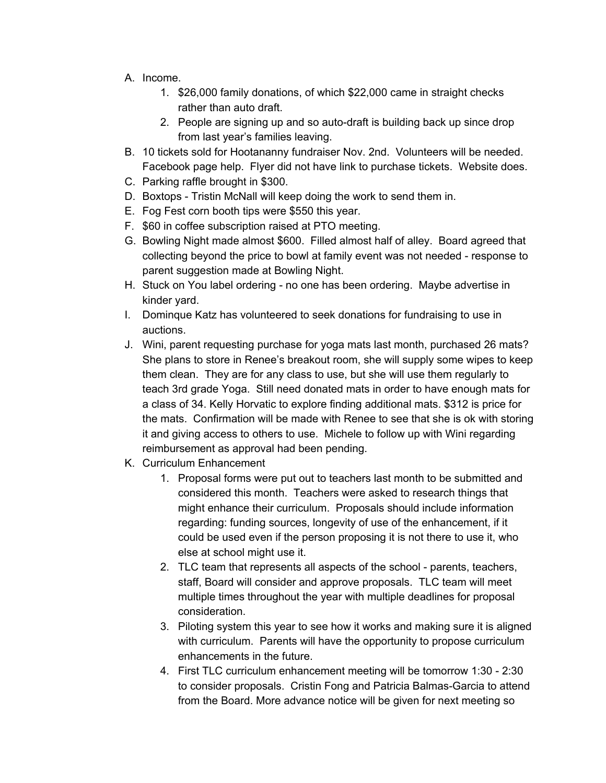- A. Income.
	- 1. \$26,000 family donations, of which \$22,000 came in straight checks rather than auto draft.
	- 2. People are signing up and so auto-draft is building back up since drop from last year's families leaving.
- B. 10 tickets sold for Hootananny fundraiser Nov. 2nd. Volunteers will be needed. Facebook page help. Flyer did not have link to purchase tickets. Website does.
- C. Parking raffle brought in \$300.
- D. Boxtops Tristin McNall will keep doing the work to send them in.
- E. Fog Fest corn booth tips were \$550 this year.
- F. \$60 in coffee subscription raised at PTO meeting.
- G. Bowling Night made almost \$600. Filled almost half of alley. Board agreed that collecting beyond the price to bowl at family event was not needed - response to parent suggestion made at Bowling Night.
- H. Stuck on You label ordering no one has been ordering. Maybe advertise in kinder yard.
- I. Dominque Katz has volunteered to seek donations for fundraising to use in auctions.
- J. Wini, parent requesting purchase for yoga mats last month, purchased 26 mats? She plans to store in Renee's breakout room, she will supply some wipes to keep them clean. They are for any class to use, but she will use them regularly to teach 3rd grade Yoga. Still need donated mats in order to have enough mats for a class of 34. Kelly Horvatic to explore finding additional mats. \$312 is price for the mats. Confirmation will be made with Renee to see that she is ok with storing it and giving access to others to use. Michele to follow up with Wini regarding reimbursement as approval had been pending.
- K. Curriculum Enhancement
	- 1. Proposal forms were put out to teachers last month to be submitted and considered this month. Teachers were asked to research things that might enhance their curriculum. Proposals should include information regarding: funding sources, longevity of use of the enhancement, if it could be used even if the person proposing it is not there to use it, who else at school might use it.
	- 2. TLC team that represents all aspects of the school parents, teachers, staff, Board will consider and approve proposals. TLC team will meet multiple times throughout the year with multiple deadlines for proposal consideration.
	- 3. Piloting system this year to see how it works and making sure it is aligned with curriculum. Parents will have the opportunity to propose curriculum enhancements in the future.
	- 4. First TLC curriculum enhancement meeting will be tomorrow 1:30 2:30 to consider proposals. Cristin Fong and Patricia Balmas-Garcia to attend from the Board. More advance notice will be given for next meeting so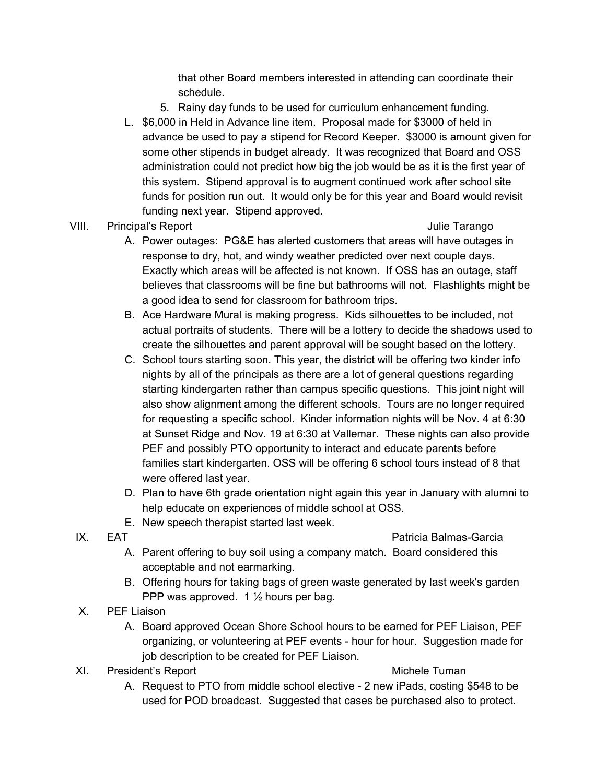that other Board members interested in attending can coordinate their schedule.

- 5. Rainy day funds to be used for curriculum enhancement funding.
- L. \$6,000 in Held in Advance line item. Proposal made for \$3000 of held in advance be used to pay a stipend for Record Keeper. \$3000 is amount given for some other stipends in budget already. It was recognized that Board and OSS administration could not predict how big the job would be as it is the first year of this system. Stipend approval is to augment continued work after school site funds for position run out. It would only be for this year and Board would revisit funding next year. Stipend approved.
- VIII. Principal's Report **Contract Contract Contract Contract Contract Contract Contract Contract Contract Contract Contract Contract Contract Contract Contract Contract Contract Contract Contract Contract Contract Contrac**

- A. Power outages: PG&E has alerted customers that areas will have outages in response to dry, hot, and windy weather predicted over next couple days. Exactly which areas will be affected is not known. If OSS has an outage, staff believes that classrooms will be fine but bathrooms will not. Flashlights might be a good idea to send for classroom for bathroom trips.
- B. Ace Hardware Mural is making progress. Kids silhouettes to be included, not actual portraits of students. There will be a lottery to decide the shadows used to create the silhouettes and parent approval will be sought based on the lottery.
- C. School tours starting soon. This year, the district will be offering two kinder info nights by all of the principals as there are a lot of general questions regarding starting kindergarten rather than campus specific questions. This joint night will also show alignment among the different schools. Tours are no longer required for requesting a specific school. Kinder information nights will be Nov. 4 at 6:30 at Sunset Ridge and Nov. 19 at 6:30 at Vallemar. These nights can also provide PEF and possibly PTO opportunity to interact and educate parents before families start kindergarten. OSS will be offering 6 school tours instead of 8 that were offered last year.
- D. Plan to have 6th grade orientation night again this year in January with alumni to help educate on experiences of middle school at OSS.
- E. New speech therapist started last week.
- IX. EAT Patricia Balmas-Garcia
	- A. Parent offering to buy soil using a company match. Board considered this acceptable and not earmarking.
	- B. Offering hours for taking bags of green waste generated by last week's garden PPP was approved. 1 ½ hours per bag.
- X. PEF Liaison
	- A. Board approved Ocean Shore School hours to be earned for PEF Liaison, PEF organizing, or volunteering at PEF events - hour for hour. Suggestion made for job description to be created for PEF Liaison.
- XI. President's Report Nichele Tuman

A. Request to PTO from middle school elective - 2 new iPads, costing \$548 to be used for POD broadcast. Suggested that cases be purchased also to protect.